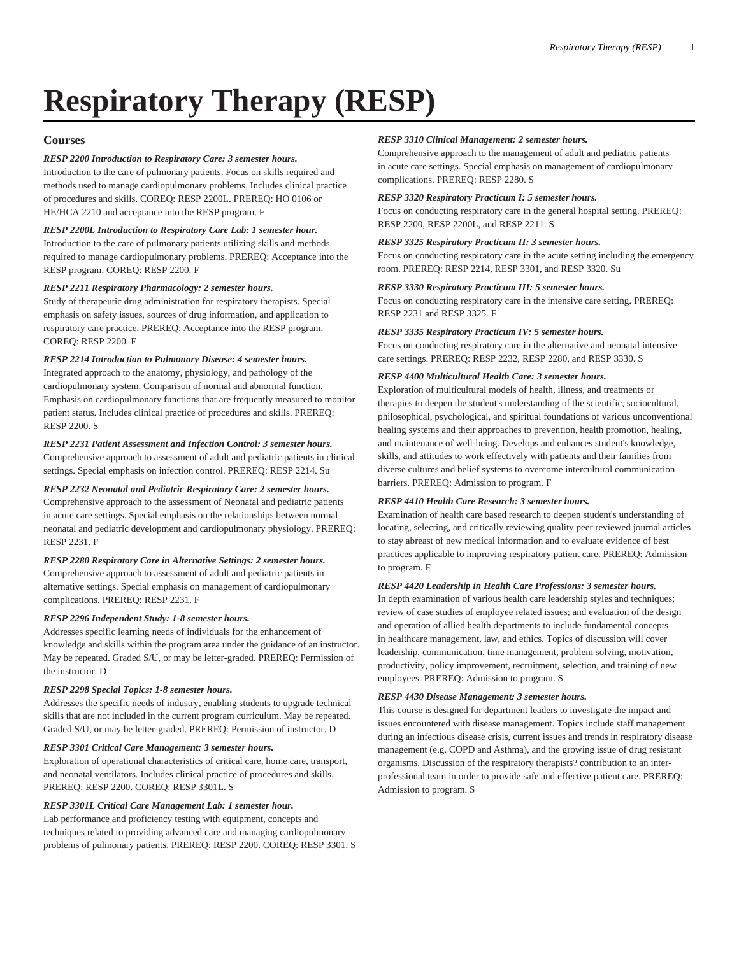# **Respiratory Therapy (RESP)**

# **Courses**

### *RESP 2200 Introduction to Respiratory Care: 3 semester hours.*

Introduction to the care of pulmonary patients. Focus on skills required and methods used to manage cardiopulmonary problems. Includes clinical practice of procedures and skills. COREQ: [RESP 2200L.](/search/?P=RESP%202200L) PREREQ: [HO 0106](/search/?P=HO%200106) or HE/[HCA 2210](/search/?P=HCA%202210) and acceptance into the RESP program. F

# *RESP 2200L Introduction to Respiratory Care Lab: 1 semester hour.*

Introduction to the care of pulmonary patients utilizing skills and methods required to manage cardiopulmonary problems. PREREQ: Acceptance into the RESP program. COREQ: [RESP 2200.](/search/?P=RESP%202200) F

#### *RESP 2211 Respiratory Pharmacology: 2 semester hours.*

Study of therapeutic drug administration for respiratory therapists. Special emphasis on safety issues, sources of drug information, and application to respiratory care practice. PREREQ: Acceptance into the RESP program. COREQ: [RESP 2200](/search/?P=RESP%202200). F

# *RESP 2214 Introduction to Pulmonary Disease: 4 semester hours.*

Integrated approach to the anatomy, physiology, and pathology of the cardiopulmonary system. Comparison of normal and abnormal function. Emphasis on cardiopulmonary functions that are frequently measured to monitor patient status. Includes clinical practice of procedures and skills. PREREQ: [RESP 2200](/search/?P=RESP%202200). S

#### *RESP 2231 Patient Assessment and Infection Control: 3 semester hours.*

Comprehensive approach to assessment of adult and pediatric patients in clinical settings. Special emphasis on infection control. PREREQ: [RESP 2214.](/search/?P=RESP%202214) Su

# *RESP 2232 Neonatal and Pediatric Respiratory Care: 2 semester hours.*

Comprehensive approach to the assessment of Neonatal and pediatric patients in acute care settings. Special emphasis on the relationships between normal neonatal and pediatric development and cardiopulmonary physiology. PREREQ: [RESP 2231](/search/?P=RESP%202231). F

# *RESP 2280 Respiratory Care in Alternative Settings: 2 semester hours.*

Comprehensive approach to assessment of adult and pediatric patients in alternative settings. Special emphasis on management of cardiopulmonary complications. PREREQ: [RESP 2231.](/search/?P=RESP%202231) F

#### *RESP 2296 Independent Study: 1-8 semester hours.*

Addresses specific learning needs of individuals for the enhancement of knowledge and skills within the program area under the guidance of an instructor. May be repeated. Graded S/U, or may be letter-graded. PREREQ: Permission of the instructor. D

#### *RESP 2298 Special Topics: 1-8 semester hours.*

Addresses the specific needs of industry, enabling students to upgrade technical skills that are not included in the current program curriculum. May be repeated. Graded S/U, or may be letter-graded. PREREQ: Permission of instructor. D

#### *RESP 3301 Critical Care Management: 3 semester hours.*

Exploration of operational characteristics of critical care, home care, transport, and neonatal ventilators. Includes clinical practice of procedures and skills. PREREQ: [RESP 2200](/search/?P=RESP%202200). COREQ: [RESP 3301L](/search/?P=RESP%203301L). S

#### *RESP 3301L Critical Care Management Lab: 1 semester hour.*

Lab performance and proficiency testing with equipment, concepts and techniques related to providing advanced care and managing cardiopulmonary problems of pulmonary patients. PREREQ: [RESP 2200](/search/?P=RESP%202200). COREQ: [RESP 3301](/search/?P=RESP%203301). S

#### *RESP 3310 Clinical Management: 2 semester hours.*

Comprehensive approach to the management of adult and pediatric patients in acute care settings. Special emphasis on management of cardiopulmonary complications. PREREQ: [RESP 2280](/search/?P=RESP%202280). S

#### *RESP 3320 Respiratory Practicum I: 5 semester hours.*

Focus on conducting respiratory care in the general hospital setting. PREREQ: [RESP 2200](/search/?P=RESP%202200), [RESP 2200L](/search/?P=RESP%202200L), and [RESP 2211](/search/?P=RESP%202211). S

#### *RESP 3325 Respiratory Practicum II: 3 semester hours.*

Focus on conducting respiratory care in the acute setting including the emergency room. PREREQ: [RESP 2214](/search/?P=RESP%202214), [RESP 3301](/search/?P=RESP%203301), and [RESP 3320.](/search/?P=RESP%203320) Su

#### *RESP 3330 Respiratory Practicum III: 5 semester hours.*

Focus on conducting respiratory care in the intensive care setting. PREREQ: [RESP 2231](/search/?P=RESP%202231) and [RESP 3325.](/search/?P=RESP%203325) F

#### *RESP 3335 Respiratory Practicum IV: 5 semester hours.*

Focus on conducting respiratory care in the alternative and neonatal intensive care settings. PREREQ: [RESP 2232,](/search/?P=RESP%202232) [RESP 2280](/search/?P=RESP%202280), and [RESP 3330.](/search/?P=RESP%203330) S

# *RESP 4400 Multicultural Health Care: 3 semester hours.*

Exploration of multicultural models of health, illness, and treatments or therapies to deepen the student's understanding of the scientific, sociocultural, philosophical, psychological, and spiritual foundations of various unconventional healing systems and their approaches to prevention, health promotion, healing, and maintenance of well-being. Develops and enhances student's knowledge, skills, and attitudes to work effectively with patients and their families from diverse cultures and belief systems to overcome intercultural communication barriers. PREREQ: Admission to program. F

#### *RESP 4410 Health Care Research: 3 semester hours.*

Examination of health care based research to deepen student's understanding of locating, selecting, and critically reviewing quality peer reviewed journal articles to stay abreast of new medical information and to evaluate evidence of best practices applicable to improving respiratory patient care. PREREQ: Admission to program. F

#### *RESP 4420 Leadership in Health Care Professions: 3 semester hours.*

In depth examination of various health care leadership styles and techniques; review of case studies of employee related issues; and evaluation of the design and operation of allied health departments to include fundamental concepts in healthcare management, law, and ethics. Topics of discussion will cover leadership, communication, time management, problem solving, motivation, productivity, policy improvement, recruitment, selection, and training of new employees. PREREQ: Admission to program. S

#### *RESP 4430 Disease Management: 3 semester hours.*

This course is designed for department leaders to investigate the impact and issues encountered with disease management. Topics include staff management during an infectious disease crisis, current issues and trends in respiratory disease management (e.g. COPD and Asthma), and the growing issue of drug resistant organisms. Discussion of the respiratory therapists? contribution to an interprofessional team in order to provide safe and effective patient care. PREREQ: Admission to program. S